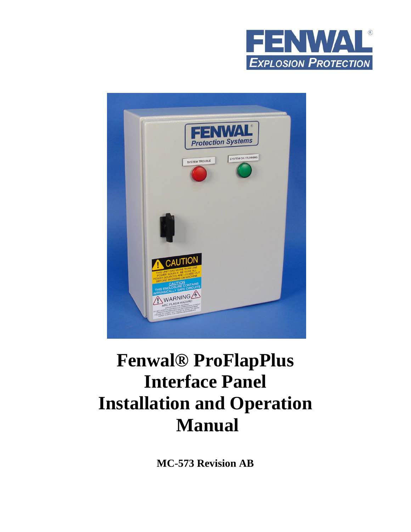



# **Fenwal® ProFlapPlus Interface Panel Installation and Operation Manual**

**MC-573 Revision AB**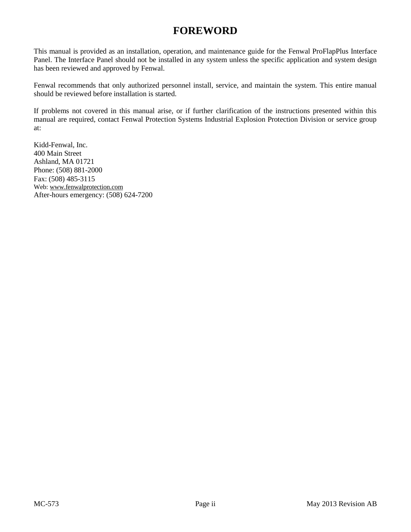## **FOREWORD**

<span id="page-1-0"></span>This manual is provided as an installation, operation, and maintenance guide for the Fenwal ProFlapPlus Interface Panel. The Interface Panel should not be installed in any system unless the specific application and system design has been reviewed and approved by Fenwal.

Fenwal recommends that only authorized personnel install, service, and maintain the system. This entire manual should be reviewed before installation is started.

If problems not covered in this manual arise, or if further clarification of the instructions presented within this manual are required, contact Fenwal Protection Systems Industrial Explosion Protection Division or service group at:

Kidd-Fenwal, Inc. 400 Main Street Ashland, MA 01721 Phone: (508) 881-2000 Fax: (508) 485-3115 Web: [www.fenwalprotection.com](http://www.fenwalprotection.com/) After-hours emergency: (508) 624-7200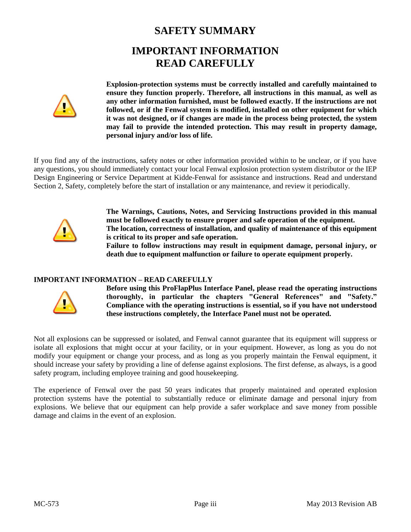## **SAFETY SUMMARY IMPORTANT INFORMATION READ CAREFULLY**

<span id="page-2-1"></span><span id="page-2-0"></span>

**Explosion-protection systems must be correctly installed and carefully maintained to ensure they function properly. Therefore, all instructions in this manual, as well as any other information furnished, must be followed exactly. If the instructions are not followed, or if the Fenwal system is modified, installed on other equipment for which it was not designed, or if changes are made in the process being protected, the system may fail to provide the intended protection. This may result in property damage, personal injury and/or loss of life.**

If you find any of the instructions, safety notes or other information provided within to be unclear, or if you have any questions, you should immediately contact your local Fenwal explosion protection system distributor or the IEP Design Engineering or Service Department at Kidde-Fenwal for assistance and instructions. Read and understand Section 2, Safety, completely before the start of installation or any maintenance, and review it periodically.



**The Warnings, Cautions, Notes, and Servicing Instructions provided in this manual must be followed exactly to ensure proper and safe operation of the equipment. The location, correctness of installation, and quality of maintenance of this equipment is critical to its proper and safe operation.**

**Failure to follow instructions may result in equipment damage, personal injury, or death due to equipment malfunction or failure to operate equipment properly.**

#### **IMPORTANT INFORMATION – READ CAREFULLY**



**Before using this ProFlapPlus Interface Panel, please read the operating instructions thoroughly, in particular the chapters "General References" and "Safety." Compliance with the operating instructions is essential, so if you have not understood these instructions completely, the Interface Panel must not be operated.**

Not all explosions can be suppressed or isolated, and Fenwal cannot guarantee that its equipment will suppress or isolate all explosions that might occur at your facility, or in your equipment. However, as long as you do not modify your equipment or change your process, and as long as you properly maintain the Fenwal equipment, it should increase your safety by providing a line of defense against explosions. The first defense, as always, is a good safety program, including employee training and good housekeeping.

The experience of Fenwal over the past 50 years indicates that properly maintained and operated explosion protection systems have the potential to substantially reduce or eliminate damage and personal injury from explosions. We believe that our equipment can help provide a safer workplace and save money from possible damage and claims in the event of an explosion.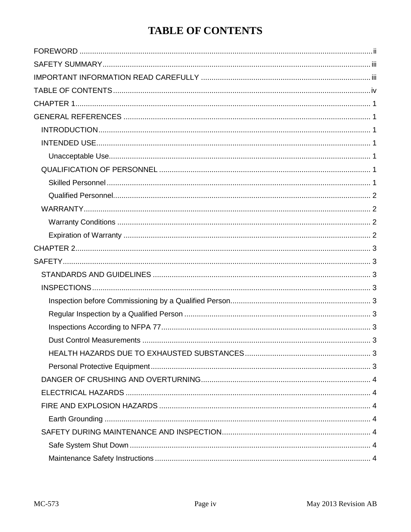## **TABLE OF CONTENTS**

<span id="page-3-0"></span>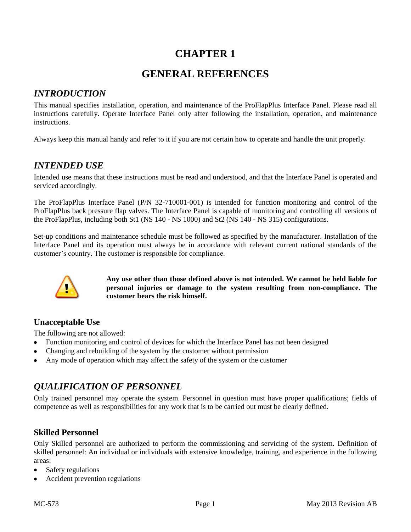## **GENERAL REFERENCES**

#### <span id="page-5-2"></span><span id="page-5-1"></span><span id="page-5-0"></span>*INTRODUCTION*

This manual specifies installation, operation, and maintenance of the ProFlapPlus Interface Panel. Please read all instructions carefully. Operate Interface Panel only after following the installation, operation, and maintenance instructions.

Always keep this manual handy and refer to it if you are not certain how to operate and handle the unit properly.

#### <span id="page-5-3"></span>*INTENDED USE*

Intended use means that these instructions must be read and understood, and that the Interface Panel is operated and serviced accordingly.

The ProFlapPlus Interface Panel (P/N 32-710001-001) is intended for function monitoring and control of the ProFlapPlus back pressure flap valves. The Interface Panel is capable of monitoring and controlling all versions of the ProFlapPlus, including both St1 (NS 140 - NS 1000) and St2 (NS 140 - NS 315) configurations.

Set-up conditions and maintenance schedule must be followed as specified by the manufacturer. Installation of the Interface Panel and its operation must always be in accordance with relevant current national standards of the customer's country. The customer is responsible for compliance.



**Any use other than those defined above is not intended. We cannot be held liable for personal injuries or damage to the system resulting from non-compliance. The customer bears the risk himself.**

#### <span id="page-5-4"></span>**Unacceptable Use**

The following are not allowed:

- Function monitoring and control of devices for which the Interface Panel has not been designed
- Changing and rebuilding of the system by the customer without permission
- Any mode of operation which may affect the safety of the system or the customer

## <span id="page-5-5"></span>*QUALIFICATION OF PERSONNEL*

Only trained personnel may operate the system. Personnel in question must have proper qualifications; fields of competence as well as responsibilities for any work that is to be carried out must be clearly defined.

#### <span id="page-5-6"></span>**Skilled Personnel**

Only Skilled personnel are authorized to perform the commissioning and servicing of the system. Definition of skilled personnel: An individual or individuals with extensive knowledge, training, and experience in the following areas:

- Safety regulations
- Accident prevention regulations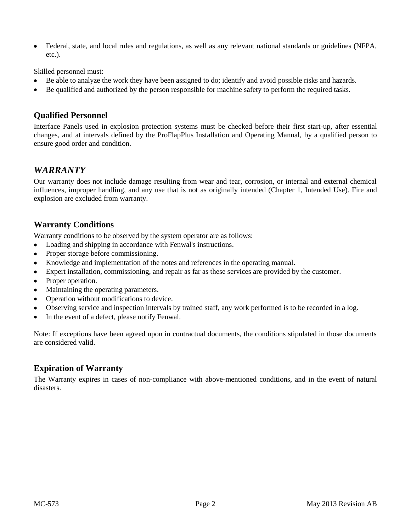Federal, state, and local rules and regulations, as well as any relevant national standards or guidelines (NFPA,  $\bullet$ etc.).

Skilled personnel must:

- Be able to analyze the work they have been assigned to do; identify and avoid possible risks and hazards.
- Be qualified and authorized by the person responsible for machine safety to perform the required tasks.

#### <span id="page-6-0"></span>**Qualified Personnel**

Interface Panels used in explosion protection systems must be checked before their first start-up, after essential changes, and at intervals defined by the ProFlapPlus Installation and Operating Manual, by a qualified person to ensure good order and condition.

#### <span id="page-6-1"></span>*WARRANTY*

Our warranty does not include damage resulting from wear and tear, corrosion, or internal and external chemical influences, improper handling, and any use that is not as originally intended (Chapter 1, Intended Use). Fire and explosion are excluded from warranty.

#### <span id="page-6-2"></span>**Warranty Conditions**

Warranty conditions to be observed by the system operator are as follows:

- Loading and shipping in accordance with Fenwal's instructions.  $\bullet$
- Proper storage before commissioning.
- Knowledge and implementation of the notes and references in the operating manual.
- Expert installation, commissioning, and repair as far as these services are provided by the customer.
- Proper operation.
- Maintaining the operating parameters.
- Operation without modifications to device.
- Observing service and inspection intervals by trained staff, any work performed is to be recorded in a log.
- In the event of a defect, please notify Fenwal.

Note: If exceptions have been agreed upon in contractual documents, the conditions stipulated in those documents are considered valid.

#### <span id="page-6-3"></span>**Expiration of Warranty**

The Warranty expires in cases of non-compliance with above-mentioned conditions, and in the event of natural disasters.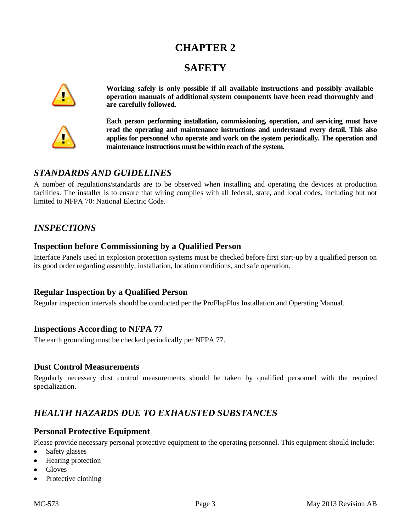## **SAFETY**

<span id="page-7-1"></span><span id="page-7-0"></span>

**Working safely is only possible if all available instructions and possibly available operation manuals of additional system components have been read thoroughly and are carefully followed.**



**Each person performing installation, commissioning, operation, and servicing must have read the operating and maintenance instructions and understand every detail. This also applies for personnel who operate and work on the system periodically. The operation and maintenance instructions must be within reach of the system.**

## <span id="page-7-2"></span>*STANDARDS AND GUIDELINES*

A number of regulations/standards are to be observed when installing and operating the devices at production facilities. The installer is to ensure that wiring complies with all federal, state, and local codes, including but not limited to NFPA 70: National Electric Code.

## <span id="page-7-3"></span>*INSPECTIONS*

#### <span id="page-7-4"></span>**Inspection before Commissioning by a Qualified Person**

Interface Panels used in explosion protection systems must be checked before first start-up by a qualified person on its good order regarding assembly, installation, location conditions, and safe operation.

#### <span id="page-7-5"></span>**Regular Inspection by a Qualified Person**

Regular inspection intervals should be conducted per the ProFlapPlus Installation and Operating Manual.

#### <span id="page-7-6"></span>**Inspections According to NFPA 77**

The earth grounding must be checked periodically per NFPA 77.

#### <span id="page-7-7"></span>**Dust Control Measurements**

Regularly necessary dust control measurements should be taken by qualified personnel with the required specialization.

## <span id="page-7-8"></span>*HEALTH HAZARDS DUE TO EXHAUSTED SUBSTANCES*

#### <span id="page-7-9"></span>**Personal Protective Equipment**

Please provide necessary personal protective equipment to the operating personnel. This equipment should include:

- Safety glasses
- Hearing protection
- Gloves
- Protective clothing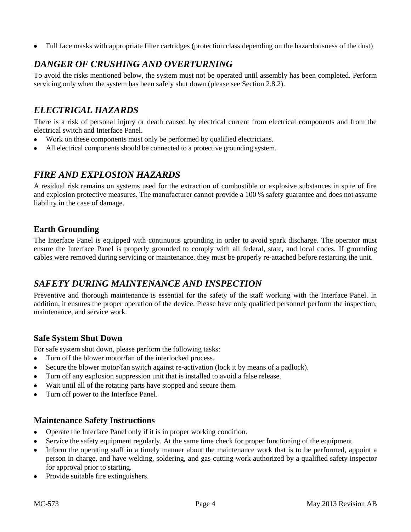Full face masks with appropriate filter cartridges (protection class depending on the hazardousness of the dust)  $\bullet$ 

## <span id="page-8-0"></span>*DANGER OF CRUSHING AND OVERTURNING*

To avoid the risks mentioned below, the system must not be operated until assembly has been completed. Perform servicing only when the system has been safely shut down (please see Section 2.8.2).

## <span id="page-8-1"></span>*ELECTRICAL HAZARDS*

There is a risk of personal injury or death caused by electrical current from electrical components and from the electrical switch and Interface Panel.

- Work on these components must only be performed by qualified electricians.  $\bullet$
- All electrical components should be connected to a protective grounding system.

## <span id="page-8-2"></span>*FIRE AND EXPLOSION HAZARDS*

A residual risk remains on systems used for the extraction of combustible or explosive substances in spite of fire and explosion protective measures. The manufacturer cannot provide a 100 % safety guarantee and does not assume liability in the case of damage.

#### <span id="page-8-3"></span>**Earth Grounding**

The Interface Panel is equipped with continuous grounding in order to avoid spark discharge. The operator must ensure the Interface Panel is properly grounded to comply with all federal, state, and local codes. If grounding cables were removed during servicing or maintenance, they must be properly re-attached before restarting the unit.

## <span id="page-8-4"></span>*SAFETY DURING MAINTENANCE AND INSPECTION*

Preventive and thorough maintenance is essential for the safety of the staff working with the Interface Panel. In addition, it ensures the proper operation of the device. Please have only qualified personnel perform the inspection, maintenance, and service work.

#### <span id="page-8-5"></span>**Safe System Shut Down**

For safe system shut down, please perform the following tasks:

- Turn off the blower motor/fan of the interlocked process.  $\bullet$
- Secure the blower motor/fan switch against re-activation (lock it by means of a padlock).
- Turn off any explosion suppression unit that is installed to avoid a false release.
- Wait until all of the rotating parts have stopped and secure them.
- Turn off power to the Interface Panel.

#### <span id="page-8-6"></span>**Maintenance Safety Instructions**

- Operate the Interface Panel only if it is in proper working condition.
- Service the safety equipment regularly. At the same time check for proper functioning of the equipment.
- Inform the operating staff in a timely manner about the maintenance work that is to be performed, appoint a person in charge, and have welding, soldering, and gas cutting work authorized by a qualified safety inspector for approval prior to starting.
- Provide suitable fire extinguishers.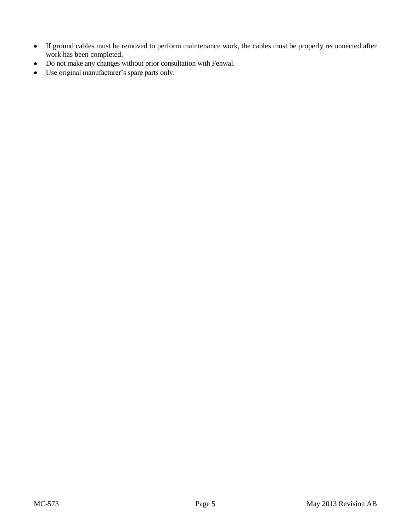- If ground cables must be removed to perform maintenance work, the cables must be properly reconnected after work has been completed.
- Do not make any changes without prior consultation with Fenwal.  $\bullet$
- Use original manufacturer's spare parts only.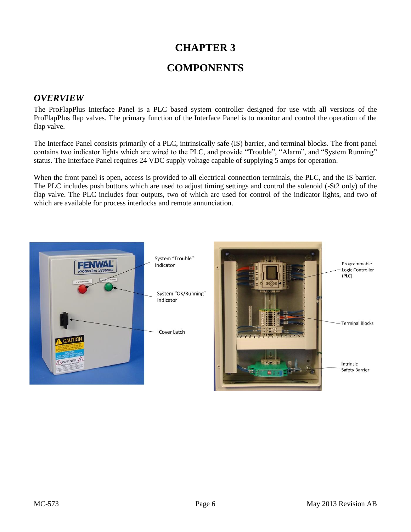## **CHAPTER 3 COMPONENTS**

#### <span id="page-10-2"></span><span id="page-10-1"></span><span id="page-10-0"></span>*OVERVIEW*

The ProFlapPlus Interface Panel is a PLC based system controller designed for use with all versions of the ProFlapPlus flap valves. The primary function of the Interface Panel is to monitor and control the operation of the flap valve.

The Interface Panel consists primarily of a PLC, intrinsically safe (IS) barrier, and terminal blocks. The front panel contains two indicator lights which are wired to the PLC, and provide "Trouble", "Alarm", and "System Running" status. The Interface Panel requires 24 VDC supply voltage capable of supplying 5 amps for operation.

When the front panel is open, access is provided to all electrical connection terminals, the PLC, and the IS barrier. The PLC includes push buttons which are used to adjust timing settings and control the solenoid (-St2 only) of the flap valve. The PLC includes four outputs, two of which are used for control of the indicator lights, and two of which are available for process interlocks and remote annunciation.

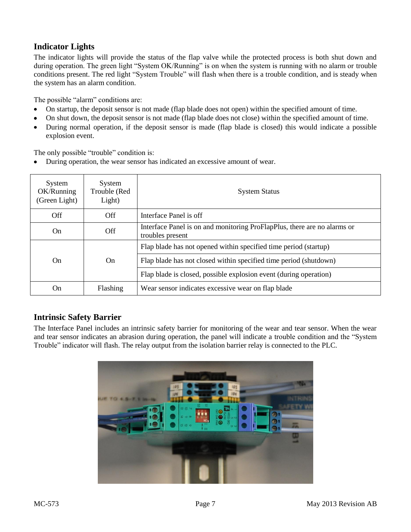#### <span id="page-11-0"></span>**Indicator Lights**

The indicator lights will provide the status of the flap valve while the protected process is both shut down and during operation. The green light "System OK/Running" is on when the system is running with no alarm or trouble conditions present. The red light "System Trouble" will flash when there is a trouble condition, and is steady when the system has an alarm condition.

The possible "alarm" conditions are:

- On startup, the deposit sensor is not made (flap blade does not open) within the specified amount of time.  $\bullet$
- On shut down, the deposit sensor is not made (flap blade does not close) within the specified amount of time.
- During normal operation, if the deposit sensor is made (flap blade is closed) this would indicate a possible explosion event.

The only possible "trouble" condition is:

 $\bullet$ During operation, the wear sensor has indicated an excessive amount of wear.

| System<br>OK/Running<br>(Green Light) | System<br>Trouble (Red<br>Light) | <b>System Status</b>                                                                         |
|---------------------------------------|----------------------------------|----------------------------------------------------------------------------------------------|
| <b>Off</b>                            | Off                              | Interface Panel is off                                                                       |
| <b>On</b>                             | <b>Off</b>                       | Interface Panel is on and monitoring ProFlapPlus, there are no alarms or<br>troubles present |
| On.                                   | On                               | Flap blade has not opened within specified time period (startup)                             |
|                                       |                                  | Flap blade has not closed within specified time period (shutdown)                            |
|                                       |                                  | Flap blade is closed, possible explosion event (during operation)                            |
| On.                                   | Flashing                         | Wear sensor indicates excessive wear on flap blade                                           |

#### <span id="page-11-1"></span>**Intrinsic Safety Barrier**

<span id="page-11-2"></span>The Interface Panel includes an intrinsic safety barrier for monitoring of the wear and tear sensor. When the wear and tear sensor indicates an abrasion during operation, the panel will indicate a trouble condition and the "System Trouble" indicator will flash. The relay output from the isolation barrier relay is connected to the PLC.

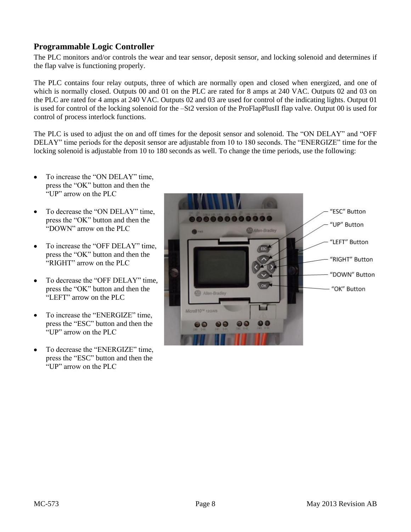#### **Programmable Logic Controller**

The PLC monitors and/or controls the wear and tear sensor, deposit sensor, and locking solenoid and determines if the flap valve is functioning properly.

The PLC contains four relay outputs, three of which are normally open and closed when energized, and one of which is normally closed. Outputs 00 and 01 on the PLC are rated for 8 amps at 240 VAC. Outputs 02 and 03 on the PLC are rated for 4 amps at 240 VAC. Outputs 02 and 03 are used for control of the indicating lights. Output 01 is used for control of the locking solenoid for the –St2 version of the ProFlapPlusII flap valve. Output 00 is used for control of process interlock functions.

The PLC is used to adjust the on and off times for the deposit sensor and solenoid. The "ON DELAY" and "OFF DELAY" time periods for the deposit sensor are adjustable from 10 to 180 seconds. The "ENERGIZE" time for the locking solenoid is adjustable from 10 to 180 seconds as well. To change the time periods, use the following:

- To increase the "ON DELAY" time,  $\bullet$ press the "OK" button and then the "UP" arrow on the PLC
- To decrease the "ON DELAY" time,  $\bullet$ press the "OK" button and then the "DOWN" arrow on the PLC
- To increase the "OFF DELAY" time, press the "OK" button and then the "RIGHT" arrow on the PLC
- To decrease the "OFF DELAY" time, press the "OK" button and then the "LEFT" arrow on the PLC.
- To increase the "ENERGIZE" time, press the "ESC" button and then the "UP" arrow on the PLC
- <span id="page-12-0"></span>To decrease the "ENERGIZE" time, press the "ESC" button and then the "UP" arrow on the PLC

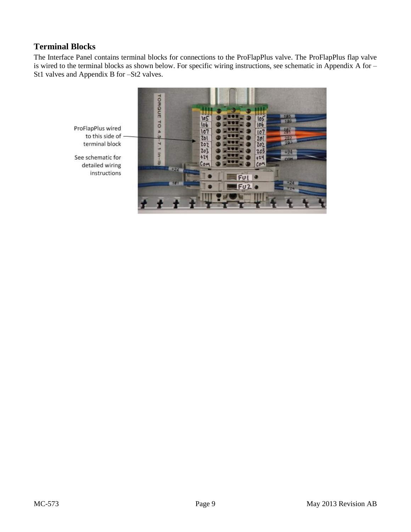### **Terminal Blocks**

The Interface Panel contains terminal blocks for connections to the ProFlapPlus valve. The ProFlapPlus flap valve is wired to the terminal blocks as shown below. For specific wiring instructions, see schematic in Appendix A for – St1 valves and Appendix B for –St2 valves.

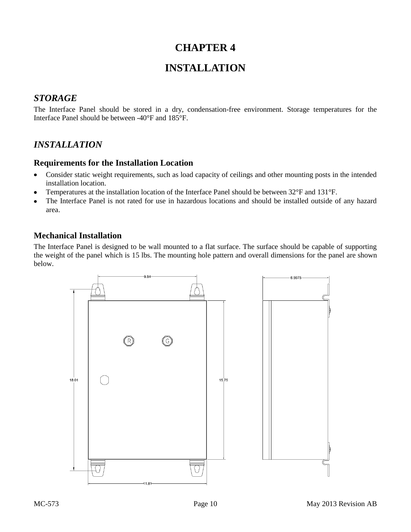## **INSTALLATION**

#### <span id="page-14-2"></span><span id="page-14-1"></span><span id="page-14-0"></span>*STORAGE*

The Interface Panel should be stored in a dry, condensation-free environment. Storage temperatures for the Interface Panel should be between -40°F and 185°F.

## <span id="page-14-3"></span>*INSTALLATION*

#### <span id="page-14-4"></span>**Requirements for the Installation Location**

- Consider static weight requirements, such as load capacity of ceilings and other mounting posts in the intended installation location.
- Temperatures at the installation location of the Interface Panel should be between 32°F and 131°F.
- The Interface Panel is not rated for use in hazardous locations and should be installed outside of any hazard  $\bullet$ area.

#### <span id="page-14-5"></span>**Mechanical Installation**

The Interface Panel is designed to be wall mounted to a flat surface. The surface should be capable of supporting the weight of the panel which is 15 lbs. The mounting hole pattern and overall dimensions for the panel are shown below.

<span id="page-14-6"></span>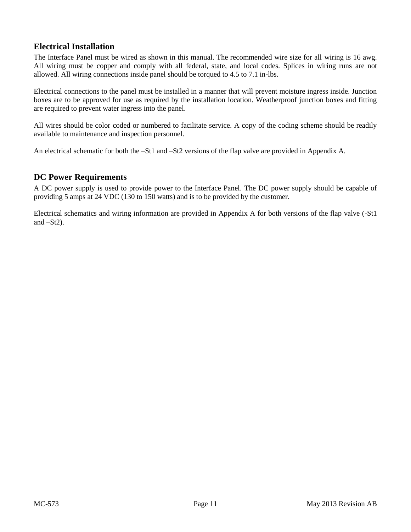#### **Electrical Installation**

The Interface Panel must be wired as shown in this manual. The recommended wire size for all wiring is 16 awg. All wiring must be copper and comply with all federal, state, and local codes. Splices in wiring runs are not allowed. All wiring connections inside panel should be torqued to 4.5 to 7.1 in-lbs.

Electrical connections to the panel must be installed in a manner that will prevent moisture ingress inside. Junction boxes are to be approved for use as required by the installation location. Weatherproof junction boxes and fitting are required to prevent water ingress into the panel.

All wires should be color coded or numbered to facilitate service. A copy of the coding scheme should be readily available to maintenance and inspection personnel.

An electrical schematic for both the –St1 and –St2 versions of the flap valve are provided in Appendix A.

#### <span id="page-15-0"></span>**DC Power Requirements**

A DC power supply is used to provide power to the Interface Panel. The DC power supply should be capable of providing 5 amps at 24 VDC (130 to 150 watts) and is to be provided by the customer.

<span id="page-15-1"></span>Electrical schematics and wiring information are provided in Appendix A for both versions of the flap valve (-St1 and  $-St2$ ).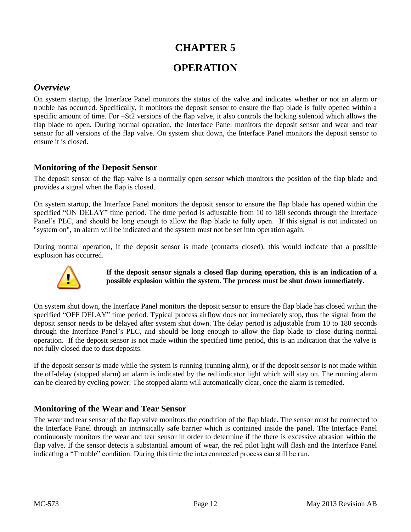## **OPERATION**

#### <span id="page-16-1"></span><span id="page-16-0"></span>*Overview*

On system startup, the Interface Panel monitors the status of the valve and indicates whether or not an alarm or trouble has occurred. Specifically, it monitors the deposit sensor to ensure the flap blade is fully opened within a specific amount of time. For –St2 versions of the flap valve, it also controls the locking solenoid which allows the flap blade to open. During normal operation, the Interface Panel monitors the deposit sensor and wear and tear sensor for all versions of the flap valve. On system shut down, the Interface Panel monitors the deposit sensor to ensure it is closed.

#### <span id="page-16-2"></span>**Monitoring of the Deposit Sensor**

The deposit sensor of the flap valve is a normally open sensor which monitors the position of the flap blade and provides a signal when the flap is closed.

On system startup, the Interface Panel monitors the deposit sensor to ensure the flap blade has opened within the specified "ON DELAY" time period. The time period is adjustable from 10 to 180 seconds through the Interface Panel's PLC, and should be long enough to allow the flap blade to fully open. If this signal is not indicated on "system on", an alarm will be indicated and the system must not be set into operation again.

During normal operation, if the deposit sensor is made (contacts closed), this would indicate that a possible explosion has occurred.



#### **If the deposit sensor signals a closed flap during operation, this is an indication of a possible explosion within the system. The process must be shut down immediately.**

On system shut down, the Interface Panel monitors the deposit sensor to ensure the flap blade has closed within the specified "OFF DELAY" time period. Typical process airflow does not immediately stop, thus the signal from the deposit sensor needs to be delayed after system shut down. The delay period is adjustable from 10 to 180 seconds through the Interface Panel's PLC, and should be long enough to allow the flap blade to close during normal operation. If the deposit sensor is not made within the specified time period, this is an indication that the valve is not fully closed due to dust deposits.

If the deposit sensor is made while the system is running (running alrm), or if the deposit sensor is not made within the off-delay (stopped alarm) an alarm is indicated by the red indicator light which will stay on. The running alarm can be cleared by cycling power. The stopped alarm will automatically clear, once the alarm is remedied.

#### <span id="page-16-3"></span>**Monitoring of the Wear and Tear Sensor**

The wear and tear sensor of the flap valve monitors the condition of the flap blade. The sensor must be connected to the Interface Panel through an intrinsically safe barrier which is contained inside the panel. The Interface Panel continuously monitors the wear and tear sensor in order to determine if the there is excessive abrasion within the flap valve. If the sensor detects a substantial amount of wear, the red pilot light will flash and the Interface Panel indicating a "Trouble" condition. During this time the interconnected process can still be run.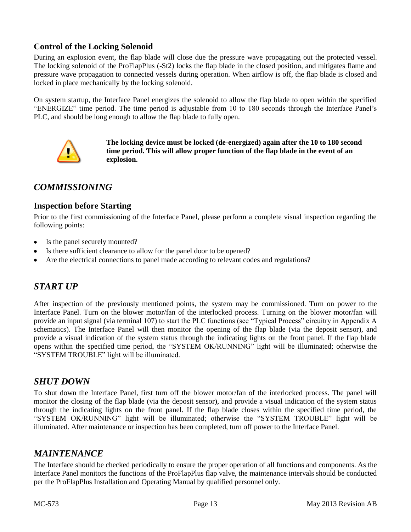#### <span id="page-17-0"></span>**Control of the Locking Solenoid**

During an explosion event, the flap blade will close due the pressure wave propagating out the protected vessel. The locking solenoid of the ProFlapPlus (-St2) locks the flap blade in the closed position, and mitigates flame and pressure wave propagation to connected vessels during operation. When airflow is off, the flap blade is closed and locked in place mechanically by the locking solenoid.

On system startup, the Interface Panel energizes the solenoid to allow the flap blade to open within the specified "ENERGIZE" time period. The time period is adjustable from 10 to 180 seconds through the Interface Panel's PLC, and should be long enough to allow the flap blade to fully open.



**The locking device must be locked (de-energized) again after the 10 to 180 second time period. This will allow proper function of the flap blade in the event of an explosion.**

## <span id="page-17-1"></span>*COMMISSIONING*

#### <span id="page-17-2"></span>**Inspection before Starting**

Prior to the first commissioning of the Interface Panel, please perform a complete visual inspection regarding the following points:

- Is the panel securely mounted?
- Is there sufficient clearance to allow for the panel door to be opened?
- Are the electrical connections to panel made according to relevant codes and regulations?

#### <span id="page-17-3"></span>*START UP*

After inspection of the previously mentioned points, the system may be commissioned. Turn on power to the Interface Panel. Turn on the blower motor/fan of the interlocked process. Turning on the blower motor/fan will provide an input signal (via terminal 107) to start the PLC functions (see "Typical Process" circuitry in Appendix A schematics). The Interface Panel will then monitor the opening of the flap blade (via the deposit sensor), and provide a visual indication of the system status through the indicating lights on the front panel. If the flap blade opens within the specified time period, the "SYSTEM OK/RUNNING" light will be illuminated; otherwise the "SYSTEM TROUBLE" light will be illuminated.

#### <span id="page-17-4"></span>*SHUT DOWN*

To shut down the Interface Panel, first turn off the blower motor/fan of the interlocked process. The panel will monitor the closing of the flap blade (via the deposit sensor), and provide a visual indication of the system status through the indicating lights on the front panel. If the flap blade closes within the specified time period, the "SYSTEM OK/RUNNING" light will be illuminated; otherwise the "SYSTEM TROUBLE" light will be illuminated. After maintenance or inspection has been completed, turn off power to the Interface Panel.

#### <span id="page-17-5"></span>*MAINTENANCE*

The Interface should be checked periodically to ensure the proper operation of all functions and components. As the Interface Panel monitors the functions of the ProFlapPlus flap valve, the maintenance intervals should be conducted per the ProFlapPlus Installation and Operating Manual by qualified personnel only.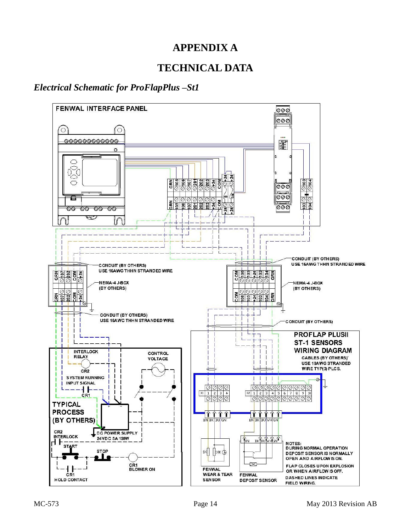## **APPENDIX A**

## **TECHNICAL DATA**

## <span id="page-18-2"></span><span id="page-18-1"></span><span id="page-18-0"></span>*Electrical Schematic for ProFlapPlus –St1*

<span id="page-18-3"></span>